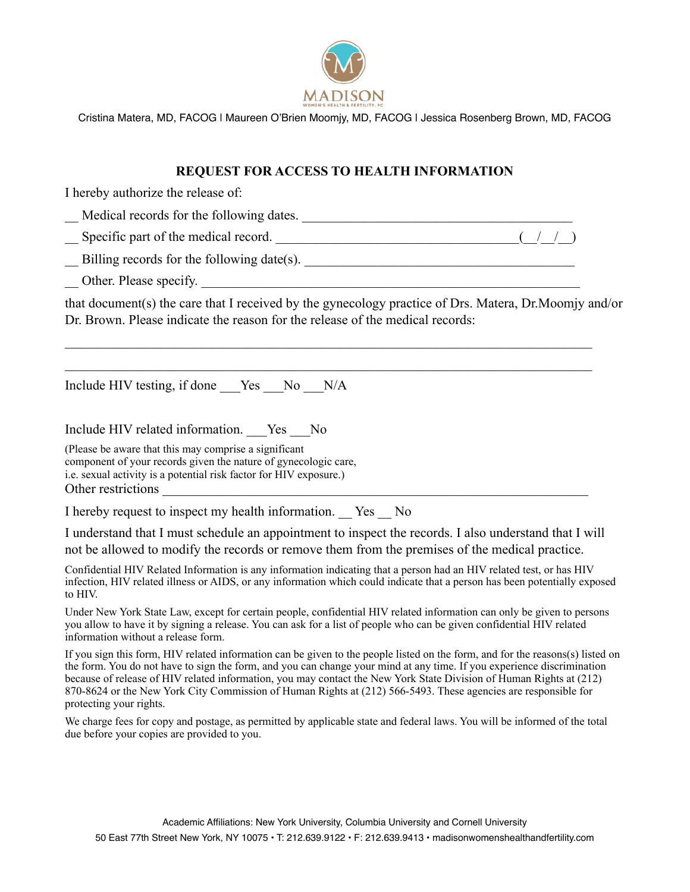

Cristina Matera, MD, FACOG | Maureen O'Brien Moomjy, MD, FACOG | Jessica Rosenberg Brown, MD, FACOG

## **REQUEST FOR ACCESS TO HEALTH INFORMATION**

I hereby authorize the release of:

| Medical records for the following dates. |  |
|------------------------------------------|--|
|                                          |  |

Specific part of the medical record.  $(1 \t/2)$ 

 $\Box$  Billing records for the following date(s).

Other. Please specify.

that document(s) the care that I received by the gynecology practice of Drs. Matera, Dr.Moomjy and/or Dr. Brown. Please indicate the reason for the release of the medical records:

 $\mathcal{L}_\mathcal{L} = \{ \mathcal{L}_\mathcal{L} = \{ \mathcal{L}_\mathcal{L} = \{ \mathcal{L}_\mathcal{L} = \{ \mathcal{L}_\mathcal{L} = \{ \mathcal{L}_\mathcal{L} = \{ \mathcal{L}_\mathcal{L} = \{ \mathcal{L}_\mathcal{L} = \{ \mathcal{L}_\mathcal{L} = \{ \mathcal{L}_\mathcal{L} = \{ \mathcal{L}_\mathcal{L} = \{ \mathcal{L}_\mathcal{L} = \{ \mathcal{L}_\mathcal{L} = \{ \mathcal{L}_\mathcal{L} = \{ \mathcal{L}_\mathcal{$ 

 $\_$  , and the contribution of the contribution of the contribution of the contribution of  $\mathcal{L}_\text{max}$ 

| Include HIV testing, if done _Yes __ No<br>N/A        |  |  |  |  |  |  |  |
|-------------------------------------------------------|--|--|--|--|--|--|--|
| Include HIV related information. Yes<br>No.           |  |  |  |  |  |  |  |
| (Please be aware that this may comprise a significant |  |  |  |  |  |  |  |

component of your records given the nature of gynecologic care, i.e. sexual activity is a potential risk factor for HIV exposure.) Other restrictions

I hereby request to inspect my health information. Yes No

I understand that I must schedule an appointment to inspect the records. I also understand that I will not be allowed to modify the records or remove them from the premises of the medical practice.

Confidential HIV Related Information is any information indicating that a person had an HIV related test, or has HIV infection, HIV related illness or AIDS, or any information which could indicate that a person has been potentially exposed to HIV.

Under New York State Law, except for certain people, confidential HIV related information can only be given to persons you allow to have it by signing a release. You can ask for a list of people who can be given confidential HIV related information without a release form.

If you sign this form, HIV related information can be given to the people listed on the form, and for the reasons(s) listed on the form. You do not have to sign the form, and you can change your mind at any time. If you experience discrimination because of release of HIV related information, you may contact the New York State Division of Human Rights at (212) 870-8624 or the New York City Commission of Human Rights at (212) 566-5493. These agencies are responsible for protecting your rights.

We charge fees for copy and postage, as permitted by applicable state and federal laws. You will be informed of the total due before your copies are provided to you.